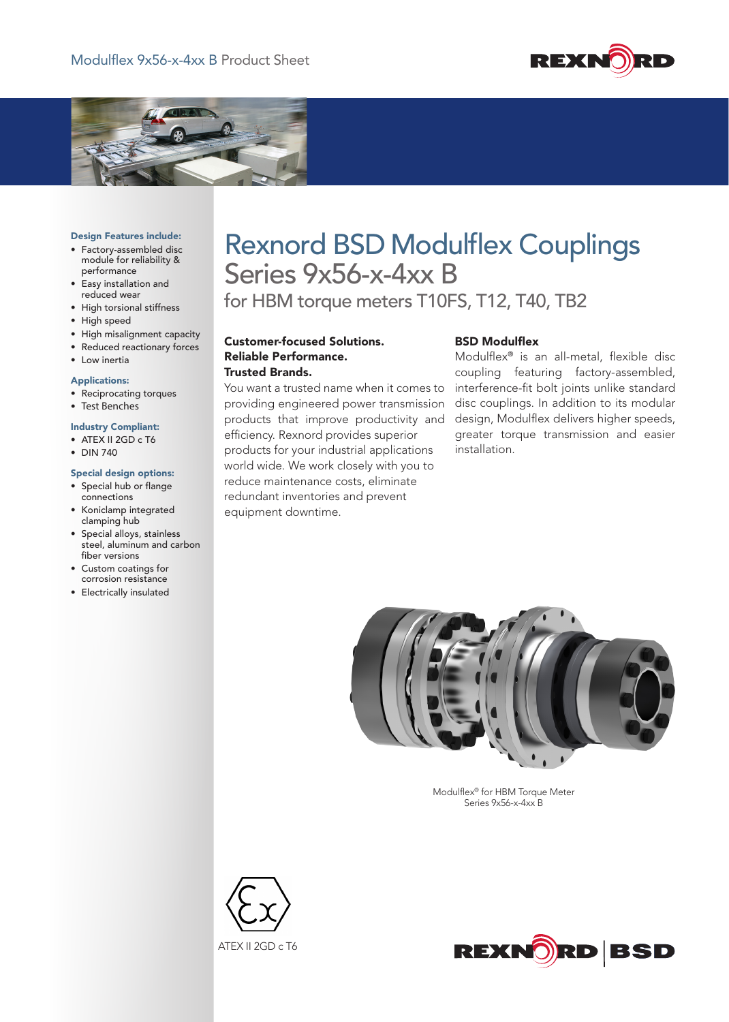



#### Design Features include:

- • Factory-assembled disc module for reliability & performance
- • Easy installation and reduced wear
- • High torsional stiffness
- High speed
- • High misalignment capacity
- • Reduced reactionary forces

# • Low inertia

### Applications:

- • Reciprocating torques
- Test Benches

## Industry Compliant:

- ATEX II 2GD c T6
- • DIN 740

#### Special design options:

- • Special hub or flange connections
- • Koniclamp integrated clamping hub
- • Special alloys, stainless steel, aluminum and carbon fiber versions
- • Custom coatings for corrosion resistance
- • Electrically insulated

# Rexnord BSD Modulflex Couplings Series 9x56-x-4xx B

for HBM torque meters T10FS, T12, T40, TB2

Customer-focused Solutions. Reliable Performance. Trusted Brands.

You want a trusted name when it comes to providing engineered power transmission products that improve productivity and efficiency. Rexnord provides superior products for your industrial applications world wide. We work closely with you to reduce maintenance costs, eliminate redundant inventories and prevent equipment downtime.

## BSD Modulflex

Modulflex® is an all-metal, flexible disc coupling featuring factory-assembled, interference-fit bolt joints unlike standard disc couplings. In addition to its modular design, Modulflex delivers higher speeds, greater torque transmission and easier installation.



Modulflex<sup>®</sup> for HBM Torque Meter Series 9x56-x-4xx B